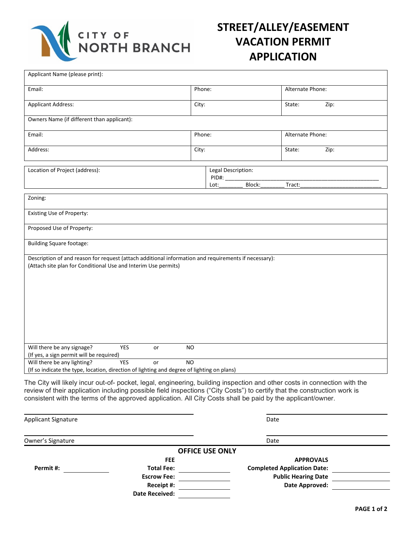

## **STREET/ALLEY/EASEMENT VACATION PERMIT APPLICATION**

| Applicant Name (please print):                                                                                                                                                                                                                                                                                                                                       |                      |                                               |                  |      |
|----------------------------------------------------------------------------------------------------------------------------------------------------------------------------------------------------------------------------------------------------------------------------------------------------------------------------------------------------------------------|----------------------|-----------------------------------------------|------------------|------|
| Email:                                                                                                                                                                                                                                                                                                                                                               | Phone:               |                                               | Alternate Phone: |      |
| <b>Applicant Address:</b>                                                                                                                                                                                                                                                                                                                                            | City:                |                                               | State:           | Zip: |
| Owners Name (if different than applicant):                                                                                                                                                                                                                                                                                                                           |                      |                                               |                  |      |
| Email:                                                                                                                                                                                                                                                                                                                                                               | Phone:               |                                               | Alternate Phone: |      |
| Address:                                                                                                                                                                                                                                                                                                                                                             | City:                |                                               | State:           | Zip: |
| Location of Project (address):                                                                                                                                                                                                                                                                                                                                       |                      | Legal Description:<br>PID#:<br>Block:<br>Lot: | Tract:           |      |
| Zoning:                                                                                                                                                                                                                                                                                                                                                              |                      |                                               |                  |      |
| Existing Use of Property:                                                                                                                                                                                                                                                                                                                                            |                      |                                               |                  |      |
| Proposed Use of Property:                                                                                                                                                                                                                                                                                                                                            |                      |                                               |                  |      |
| <b>Building Square footage:</b>                                                                                                                                                                                                                                                                                                                                      |                      |                                               |                  |      |
| Description of and reason for request (attach additional information and requirements if necessary):<br>(Attach site plan for Conditional Use and Interim Use permits)                                                                                                                                                                                               |                      |                                               |                  |      |
| Will there be any signage?<br><b>YES</b><br>(If yes, a sign permit will be required)                                                                                                                                                                                                                                                                                 | N <sub>O</sub><br>or |                                               |                  |      |
| Will there be any lighting?<br><b>YES</b><br>(If so indicate the type, location, direction of lighting and degree of lighting on plans)                                                                                                                                                                                                                              | <b>NO</b><br>or      |                                               |                  |      |
| The City will likely incur out-of- pocket, legal, engineering, building inspection and other costs in connection with the<br>review of their application including possible field inspections ("City Costs") to certify that the construction work is<br>consistent with the terms of the approved application. All City Costs shall be paid by the applicant/owner. |                      |                                               |                  |      |

| <b>Applicant Signature</b> |                       | Date                               |  |  |
|----------------------------|-----------------------|------------------------------------|--|--|
| Owner's Signature          |                       | Date                               |  |  |
|                            |                       | <b>OFFICE USE ONLY</b>             |  |  |
|                            | <b>FEE</b>            | <b>APPROVALS</b>                   |  |  |
| Permit#:                   | <b>Total Fee:</b>     | <b>Completed Application Date:</b> |  |  |
|                            | <b>Escrow Fee:</b>    | <b>Public Hearing Date</b>         |  |  |
|                            | Receipt #:            | Date Approved:                     |  |  |
|                            | <b>Date Received:</b> |                                    |  |  |